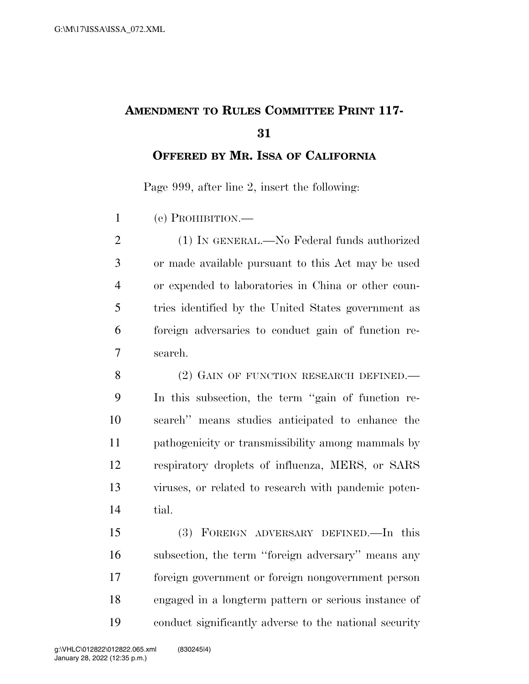## **AMENDMENT TO RULES COMMITTEE PRINT 117-**

**OFFERED BY MR. ISSA OF CALIFORNIA**

Page 999, after line 2, insert the following:

(e) PROHIBITION.—

 (1) IN GENERAL.—No Federal funds authorized or made available pursuant to this Act may be used or expended to laboratories in China or other coun- tries identified by the United States government as foreign adversaries to conduct gain of function re-search.

8 (2) GAIN OF FUNCTION RESEARCH DEFINED. In this subsection, the term ''gain of function re- search'' means studies anticipated to enhance the pathogenicity or transmissibility among mammals by respiratory droplets of influenza, MERS, or SARS viruses, or related to research with pandemic poten-tial.

 (3) FOREIGN ADVERSARY DEFINED.—In this subsection, the term ''foreign adversary'' means any foreign government or foreign nongovernment person engaged in a longterm pattern or serious instance of conduct significantly adverse to the national security